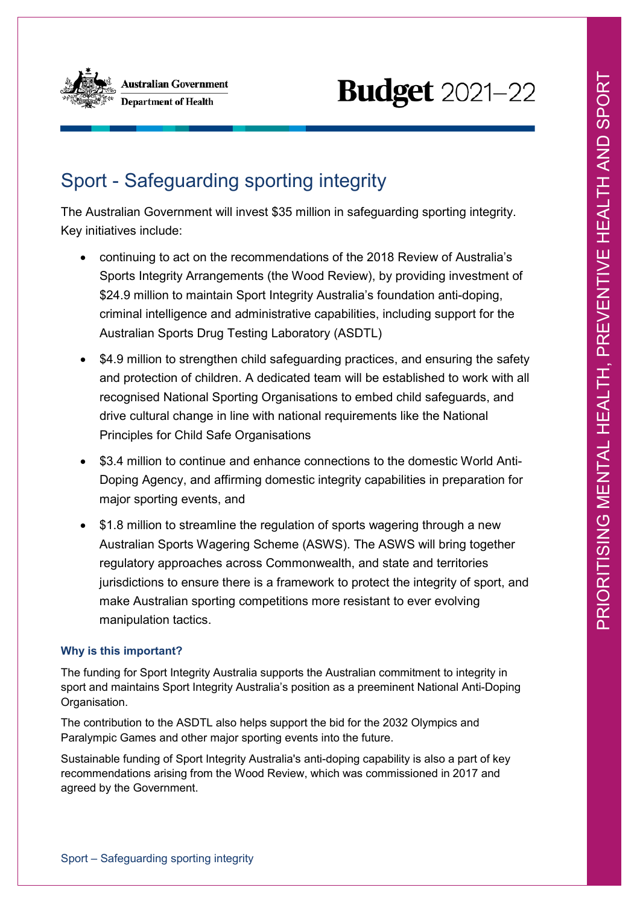

# **Budget** 2021-22

# Sport - Safeguarding sporting integrity

The Australian Government will invest \$35 million in safeguarding sporting integrity. Key initiatives include:

- continuing to act on the recommendations of the 2018 Review of Australia's Sports Integrity Arrangements (the Wood Review), by providing investment of \$24.9 million to maintain Sport Integrity Australia's foundation anti-doping, criminal intelligence and administrative capabilities, including support for the Australian Sports Drug Testing Laboratory (ASDTL)
- \$4.9 million to strengthen child safeguarding practices, and ensuring the safety and protection of children. A dedicated team will be established to work with all recognised National Sporting Organisations to embed child safeguards, and drive cultural change in line with national requirements like the National Principles for Child Safe Organisations
- \$3.4 million to continue and enhance connections to the domestic World Anti-Doping Agency, and affirming domestic integrity capabilities in preparation for major sporting events, and
- \$1.8 million to streamline the regulation of sports wagering through a new Australian Sports Wagering Scheme (ASWS). The ASWS will bring together regulatory approaches across Commonwealth, and state and territories jurisdictions to ensure there is a framework to protect the integrity of sport, and make Australian sporting competitions more resistant to ever evolving manipulation tactics.

## **Why is this important?**

The funding for Sport Integrity Australia supports the Australian commitment to integrity in sport and maintains Sport Integrity Australia's position as a preeminent National Anti-Doping Organisation.

The contribution to the ASDTL also helps support the bid for the 2032 Olympics and Paralympic Games and other major sporting events into the future.

Sustainable funding of Sport Integrity Australia's anti-doping capability is also a part of key recommendations arising from the Wood Review, which was commissioned in 2017 and agreed by the Government.